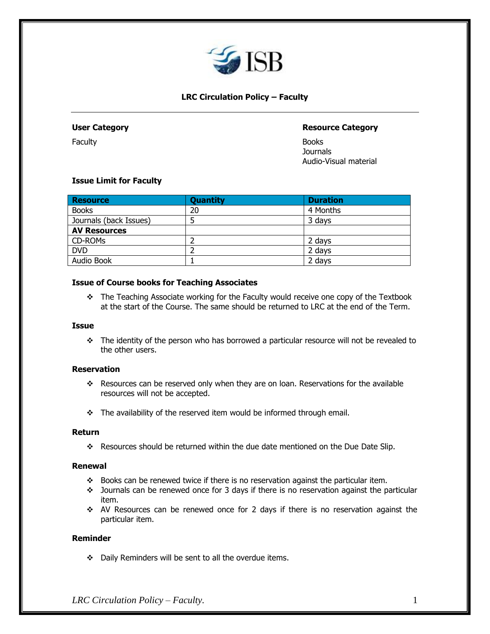

# **LRC Circulation Policy – Faculty**

Faculty Books

## **User Category Resource Category**

Journals Audio-Visual material

## **Issue Limit for Faculty**

| <b>Resource</b>        | <b>Quantity</b> | <b>Duration</b> |
|------------------------|-----------------|-----------------|
| <b>Books</b>           | 20              | 4 Months        |
| Journals (back Issues) |                 | 3 days          |
| <b>AV Resources</b>    |                 |                 |
| CD-ROMs                |                 | 2 days          |
| <b>DVD</b>             |                 | 2 days          |
| Audio Book             |                 | 2 days          |

#### **Issue of Course books for Teaching Associates**

❖ The Teaching Associate working for the Faculty would receive one copy of the Textbook at the start of the Course. The same should be returned to LRC at the end of the Term.

### **Issue**

❖ The identity of the person who has borrowed a particular resource will not be revealed to the other users.

## **Reservation**

- ❖ Resources can be reserved only when they are on loan. Reservations for the available resources will not be accepted.
- ❖ The availability of the reserved item would be informed through email.

#### **Return**

❖ Resources should be returned within the due date mentioned on the Due Date Slip.

#### **Renewal**

- ❖ Books can be renewed twice if there is no reservation against the particular item.
- ❖ Journals can be renewed once for 3 days if there is no reservation against the particular item.
- ❖ AV Resources can be renewed once for 2 days if there is no reservation against the particular item.

#### **Reminder**

❖ Daily Reminders will be sent to all the overdue items.

*LRC Circulation Policy – Faculty.* 1